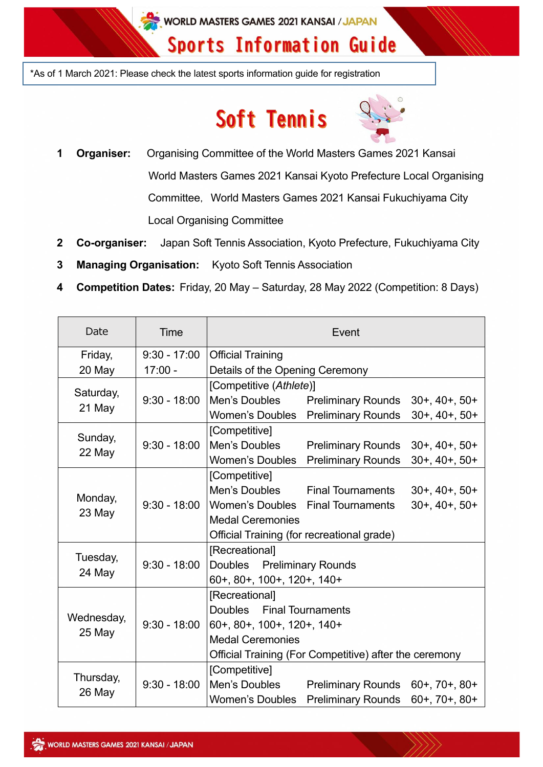WORLD MASTERS GAMES 2021 KANSAI / JAPAN

# **Sports Information Guide**

\*As of 1 March 2021: Please check the latest sports information guide for registration

# Soft Tennis



- **1 Organiser:** Organising Committee of the World Masters Games 2021 Kansai World Masters Games 2021 Kansai Kyoto Prefecture Local Organising Committee, World Masters Games 2021 Kansai Fukuchiyama City Local Organising Committee
- **2 Co-organiser:** Japan Soft Tennis Association, Kyoto Prefecture, Fukuchiyama City
- **3 Managing Organisation:** Kyoto Soft Tennis Association
- **4 Competition Dates:** Friday, 20 May Saturday, 28 May 2022 (Competition: 8 Days)

| Date                 | Time           | Event                                                  |                           |                       |
|----------------------|----------------|--------------------------------------------------------|---------------------------|-----------------------|
| Friday,              | $9:30 - 17:00$ | <b>Official Training</b>                               |                           |                       |
| 20 May               | $17:00 -$      | Details of the Opening Ceremony                        |                           |                       |
| Saturday,<br>21 May  |                | [Competitive (Athlete)]                                |                           |                       |
|                      | $9:30 - 18:00$ | Men's Doubles                                          | <b>Preliminary Rounds</b> | $30+$ , $40+$ , $50+$ |
|                      |                | Women's Doubles                                        | <b>Preliminary Rounds</b> | $30+$ , $40+$ , $50+$ |
|                      | $9:30 - 18:00$ | [Competitive]                                          |                           |                       |
| Sunday,<br>22 May    |                | Men's Doubles                                          | <b>Preliminary Rounds</b> | $30+$ , $40+$ , $50+$ |
|                      |                | <b>Women's Doubles</b>                                 | <b>Preliminary Rounds</b> | $30+$ , $40+$ , $50+$ |
|                      | $9:30 - 18:00$ | [Competitive]                                          |                           |                       |
|                      |                | Men's Doubles                                          | <b>Final Tournaments</b>  | $30+$ , $40+$ , $50+$ |
| Monday,<br>23 May    |                | Women's Doubles                                        | <b>Final Tournaments</b>  | $30+$ , $40+$ , $50+$ |
|                      |                | <b>Medal Ceremonies</b>                                |                           |                       |
|                      |                | Official Training (for recreational grade)             |                           |                       |
| Tuesday,<br>24 May   |                | [Recreational]                                         |                           |                       |
|                      | $9:30 - 18:00$ | Doubles Preliminary Rounds                             |                           |                       |
|                      |                | 60+, 80+, 100+, 120+, 140+                             |                           |                       |
| Wednesday,<br>25 May |                | [Recreational]                                         |                           |                       |
|                      | $9:30 - 18:00$ | <b>Final Tournaments</b><br><b>Doubles</b>             |                           |                       |
|                      |                | 60+, 80+, 100+, 120+, 140+                             |                           |                       |
|                      |                | <b>Medal Ceremonies</b>                                |                           |                       |
|                      |                | Official Training (For Competitive) after the ceremony |                           |                       |
| Thursday,<br>26 May  |                | [Competitive]                                          |                           |                       |
|                      | $9:30 - 18:00$ | Men's Doubles                                          | <b>Preliminary Rounds</b> | $60+, 70+, 80+$       |
|                      |                | <b>Women's Doubles</b>                                 | <b>Preliminary Rounds</b> | $60+, 70+, 80+$       |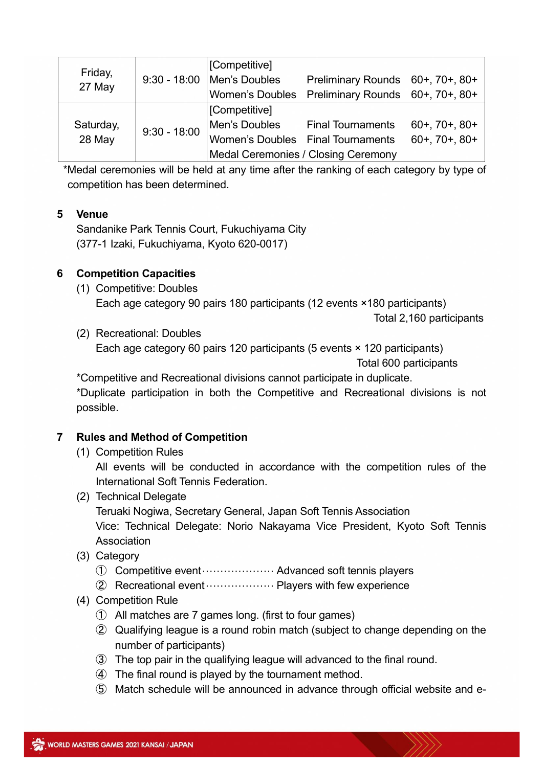| Friday,<br>27 May   | $9:30 - 18:00$ | [Competitive]                              |                                   |                       |
|---------------------|----------------|--------------------------------------------|-----------------------------------|-----------------------|
|                     |                | Men's Doubles                              | Preliminary Rounds 60+, 70+, 80+  |                       |
|                     |                | <b>Women's Doubles</b>                     | Preliminary Rounds 60+, 70+, 80+  |                       |
| Saturday,<br>28 May | $9:30 - 18:00$ | [Competitive]                              |                                   |                       |
|                     |                | Men's Doubles                              | <b>Final Tournaments</b>          | $60+$ , $70+$ , $80+$ |
|                     |                |                                            | Women's Doubles Final Tournaments | $60+, 70+, 80+$       |
|                     |                | <b>Medal Ceremonies / Closing Ceremony</b> |                                   |                       |

\*Medal ceremonies will be held at any time after the ranking of each category by type of competition has been determined.

#### **5 Venue**

Sandanike Park Tennis Court, Fukuchiyama City (377-1 Izaki, Fukuchiyama, Kyoto 620-0017)

#### **6 Competition Capacities**

(1) Competitive: Doubles Each age category 90 pairs 180 participants (12 events ×180 participants)

Total 2,160 participants

(2) Recreational: Doubles

Each age category 60 pairs 120 participants (5 events × 120 participants) Total 600 participants

\*Competitive and Recreational divisions cannot participate in duplicate. \*Duplicate participation in both the Competitive and Recreational divisions is not possible.

## **7 Rules and Method of Competition**

(1) Competition Rules

All events will be conducted in accordance with the competition rules of the International Soft Tennis Federation.

(2) Technical Delegate

Teruaki Nogiwa, Secretary General, Japan Soft Tennis Association

Vice: Technical Delegate: Norio Nakayama Vice President, Kyoto Soft Tennis Association

(3) Category

➀ Competitive event···················· Advanced soft tennis players

- ➁ Recreational event··················· Players with few experience
- (4) Competition Rule
	- ➀ All matches are 7 games long. (first to four games)
	- ➁ Qualifying league is a round robin match (subject to change depending on the number of participants)
	- ➂ The top pair in the qualifying league will advanced to the final round.
	- ➃ The final round is played by the tournament method.
	- ➄ Match schedule will be announced in advance through official website and e-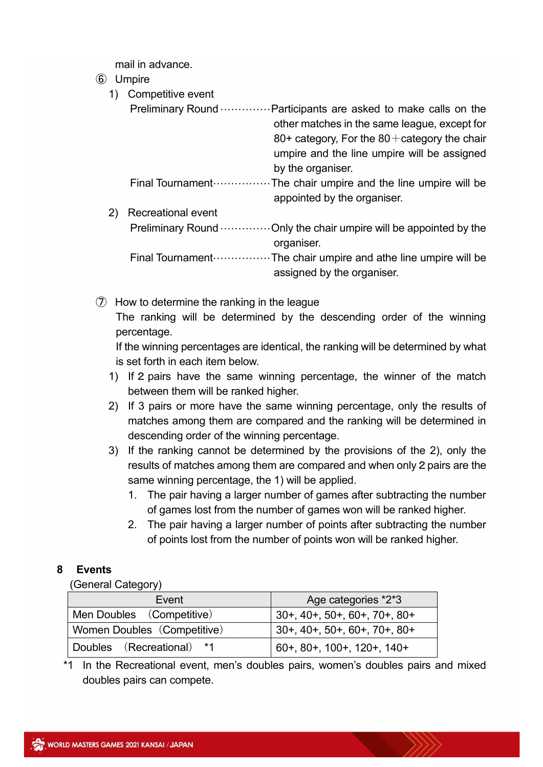mail in advance.

#### ➅ Umpire

|    | Competitive event                                                                                                                                                                                               |
|----|-----------------------------------------------------------------------------------------------------------------------------------------------------------------------------------------------------------------|
|    | Preliminary Round  Participants are asked to make calls on the<br>other matches in the same league, except for<br>80+ category, For the $80+$ category the chair<br>umpire and the line umpire will be assigned |
|    | by the organiser.                                                                                                                                                                                               |
|    | appointed by the organiser.                                                                                                                                                                                     |
| 2) | <b>Recreational event</b>                                                                                                                                                                                       |
|    | Preliminary Round  Only the chair umpire will be appointed by the<br>organiser.                                                                                                                                 |
|    | assigned by the organiser.                                                                                                                                                                                      |

 $\circled{7}$  How to determine the ranking in the league The ranking will be determined by the descending order of the winning percentage.

If the winning percentages are identical, the ranking will be determined by what is set forth in each item below.

- 1) If 2 pairs have the same winning percentage, the winner of the match between them will be ranked higher.
- 2) If 3 pairs or more have the same winning percentage, only the results of matches among them are compared and the ranking will be determined in descending order of the winning percentage.
- 3) If the ranking cannot be determined by the provisions of the 2), only the results of matches among them are compared and when only2pairs are the same winning percentage, the 1) will be applied.
	- 1. The pair having a larger number of games after subtracting the number of games lost from the number of games won will be ranked higher.
	- 2. The pair having a larger number of points after subtracting the number of points lost from the number of points won will be ranked higher.

# **8 Events**

(General Category)

| Event                       | Age categories *2*3             |  |
|-----------------------------|---------------------------------|--|
| Men Doubles (Competitive)   | $30+$ , 40+, 50+, 60+, 70+, 80+ |  |
| Women Doubles (Competitive) | $30+$ , 40+, 50+, 60+, 70+, 80+ |  |
| Doubles (Recreational) *1   | 60+, 80+, 100+, 120+, 140+      |  |

\*1 In the Recreational event, men's doubles pairs, women's doubles pairs and mixed doubles pairs can compete.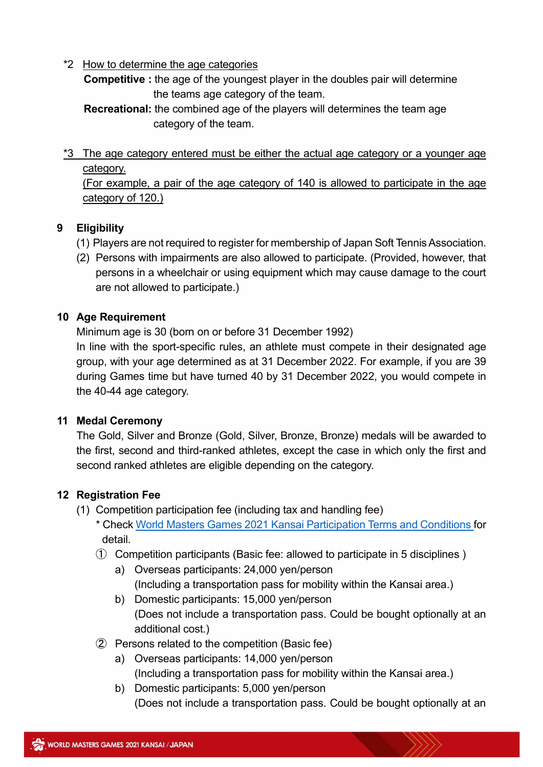\*2 How to determine the age categories

**Competitive :** the age of the youngest player in the doubles pair will determine the teams age category of the team.

**Recreational:** the combined age of the players will determines the team age category of the team.

 $*3$  The age category entered must be either the actual age category or a younger age category.

(For example, a pair of the age category of 140 is allowed to participate in the age category of 120.)

# **9 Eligibility**

- (1) Players are not required to register for membership of Japan Soft Tennis Association.
- (2) Persons with impairments are also allowed to participate. (Provided, however, that persons in a wheelchair or using equipment which may cause damage to the court are not allowed to participate.)

# **10 Age Requirement**

Minimum age is 30 (born on or before 31 December 1992) In line with the sport-specific rules, an athlete must compete in their designated age group, with your age determined as at 31 December 2022. For example, if you are 39 during Games time but have turned 40 by 31 December 2022, you would compete in the 40-44 age category.

# **11 Medal Ceremony**

The Gold, Silver and Bronze (Gold, Silver, Bronze, Bronze) medals will be awarded to the first, second and third-ranked athletes, except the case in which only the first and second ranked athletes are eligible depending on the category.

# **12 Registration Fee**

- (1) Competition participation fee (including tax and handling fee)
	- \* Check [World Masters Games 2021 Kansai Participation Terms and Conditions](https://www.wmg2021.jp/en/games/guideline.html) for detail.
	- ➀ Competition participants (Basic fee: allowed to participate in 5 disciplines )
		- a) Overseas participants: 24,000 yen/person (Including a transportation pass for mobility within the Kansai area.)
		- b) Domestic participants: 15,000 yen/person (Does not include a transportation pass. Could be bought optionally at an additional cost.)
	- ➁ Persons related to the competition (Basic fee)
		- a) Overseas participants: 14,000 yen/person (Including a transportation pass for mobility within the Kansai area.)
		- b) Domestic participants: 5,000 yen/person (Does not include a transportation pass. Could be bought optionally at an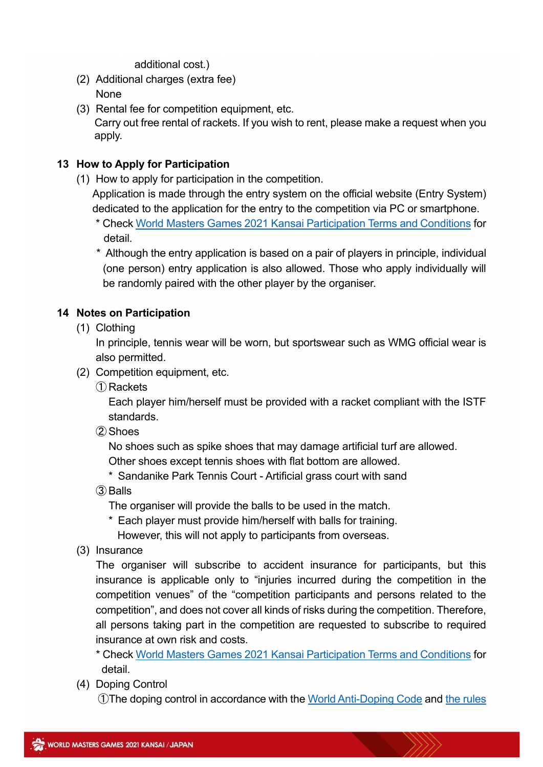additional cost.)

- (2) Additional charges (extra fee) None
- (3) Rental fee for competition equipment, etc. Carry out free rental of rackets. If you wish to rent, please make a request when you apply.

## **13 How to Apply for Participation**

(1) How to apply for participation in the competition.

Application is made through the entry system on the official website (Entry System) dedicated to the application for the entry to the competition via PC or smartphone.

- \* Check [World Masters Games 2021 Kansai Participation Terms and Conditions](https://www.wmg2021.jp/en/games/guideline.html) for detail.
- \* Although the entry application is based on a pair of players in principle, individual (one person) entry application is also allowed. Those who apply individually will be randomly paired with the other player by the organiser.

### **14 Notes on Participation**

(1) Clothing

In principle, tennis wear will be worn, but sportswear such as WMG official wear is also permitted.

- (2) Competition equipment, etc.
	- ➀ Rackets

Each player him/herself must be provided with a racket compliant with the ISTF standards.

➁ Shoes

No shoes such as spike shoes that may damage artificial turf are allowed. Other shoes except tennis shoes with flat bottom are allowed.

- 
- \* Sandanike Park Tennis Court Artificial grass court with sand
- ➂ Balls

The organiser will provide the balls to be used in the match.

\* Each player must provide him/herself with balls for training.

However, this will not apply to participants from overseas.

(3) Insurance

The organiser will subscribe to accident insurance for participants, but this insurance is applicable only to "injuries incurred during the competition in the competition venues" of the "competition participants and persons related to the competition", and does not cover all kinds of risks during the competition. Therefore, all persons taking part in the competition are requested to subscribe to required insurance at own risk and costs.

- \* Check [World Masters Games 2021 Kansai Participation Terms and Conditions](https://www.wmg2021.jp/en/games/guideline.html) for detail.
- (4) Doping Control

**①The doping control in accordance with the [World Anti-Doping Code](https://www.playtruejapan.org/entry_img/wada_code_2021_jp_20201218.pdf) and the rules**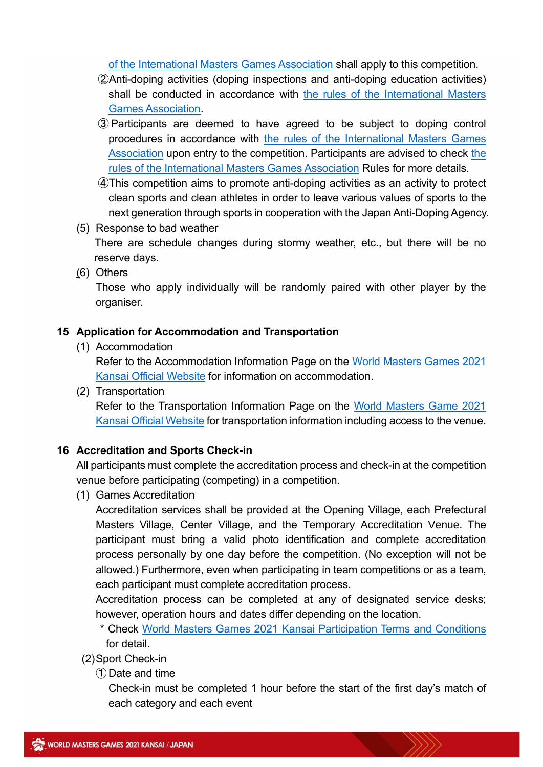[of the International Masters Games Association](https://d3tfdru9q5sbcz.cloudfront.net/2021/06/2021-IMGA-ADR.pdf) shall apply to this competition.

- ➁Anti-doping activities (doping inspections and anti-doping education activities) shall be conducted in accordance with [the rules of the International Masters](https://d3tfdru9q5sbcz.cloudfront.net/2021/06/2021-IMGA-ADR.pdf)  [Games Association.](https://d3tfdru9q5sbcz.cloudfront.net/2021/06/2021-IMGA-ADR.pdf)
- ➂ Participants are deemed to have agreed to be subject to doping control procedures in accordance with [the rules of the International Masters Games](https://d3tfdru9q5sbcz.cloudfront.net/2021/06/2021-IMGA-ADR.pdf)  [Association](https://d3tfdru9q5sbcz.cloudfront.net/2021/06/2021-IMGA-ADR.pdf) upon entry to [the](https://d3tfdru9q5sbcz.cloudfront.net/2021/06/2021-IMGA-ADR.pdf) competition. Participants are advised to check the [rules of the International Masters Games Association](https://d3tfdru9q5sbcz.cloudfront.net/2021/06/2021-IMGA-ADR.pdf) Rules for more details.
- ➃This competition aims to promote anti-doping activities as an activity to protect clean sports and clean athletes in order to leave various values of sports to the next generation through sports in cooperation with the Japan Anti-Doping Agency.
- (5) Response to bad weather

There are schedule changes during stormy weather, etc., but there will be no reserve days.

(6) Others

Those who apply individually will be randomly paired with other player by the organiser.

#### **15 Application for Accommodation and Transportation**

(1) Accommodation

Refer to the Accommodation Information Page on the [World Masters Games](https://www.wmg2021.jp/en/accommodation/index.html) 2021 [Kansai Official Website](https://www.wmg2021.jp/en/accommodation/index.html) for information on accommodation.

(2) Transportation

Refer to the Transportation Information Page on the [World Masters Game 2021](https://www.wmg2021.jp/en/games/trafficguide.html)  [Kansai Official Website](https://www.wmg2021.jp/en/games/trafficguide.html) for transportation information including access to the venue.

#### **16 Accreditation and Sports Check-in**

All participants must complete the accreditation process and check-in at the competition venue before participating (competing) in a competition.

(1) Games Accreditation

Accreditation services shall be provided at the Opening Village, each Prefectural Masters Village, Center Village, and the Temporary Accreditation Venue. The participant must bring a valid photo identification and complete accreditation process personally by one day before the competition. (No exception will not be allowed.) Furthermore, even when participating in team competitions or as a team, each participant must complete accreditation process.

Accreditation process can be completed at any of designated service desks; however, operation hours and dates differ depending on the location.

\* Check [World Masters Games 2021 Kansai Participation Terms and Conditions](https://www.wmg2021.jp/en/games/guideline.html) for detail.

(2)Sport Check-in

➀ Date and time

Check-in must be completed 1 hour before the start of the first day's match of each category and each event